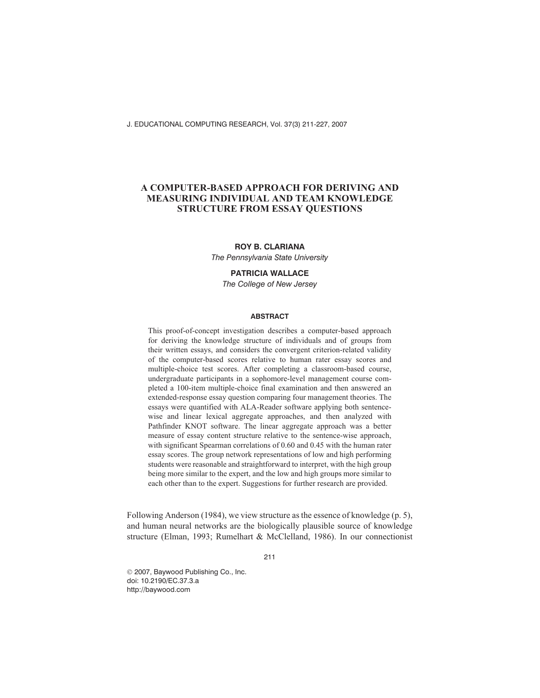J. EDUCATIONAL COMPUTING RESEARCH, Vol. 37(3) 211-227, 2007

# **A COMPUTER-BASED APPROACH FOR DERIVING AND MEASURING INDIVIDUAL AND TEAM KNOWLEDGE STRUCTURE FROM ESSAY QUESTIONS**

## **ROY B. CLARIANA**

*The Pennsylvania State University*

### **PATRICIA WALLACE**

*The College of New Jersey*

#### **ABSTRACT**

This proof-of-concept investigation describes a computer-based approach for deriving the knowledge structure of individuals and of groups from their written essays, and considers the convergent criterion-related validity of the computer-based scores relative to human rater essay scores and multiple-choice test scores. After completing a classroom-based course, undergraduate participants in a sophomore-level management course completed a 100-item multiple-choice final examination and then answered an extended-response essay question comparing four management theories. The essays were quantified with ALA-Reader software applying both sentencewise and linear lexical aggregate approaches, and then analyzed with Pathfinder KNOT software. The linear aggregate approach was a better measure of essay content structure relative to the sentence-wise approach, with significant Spearman correlations of 0.60 and 0.45 with the human rater essay scores. The group network representations of low and high performing students were reasonable and straightforward to interpret, with the high group being more similar to the expert, and the low and high groups more similar to each other than to the expert. Suggestions for further research are provided.

Following Anderson (1984), we view structure as the essence of knowledge (p. 5), and human neural networks are the biologically plausible source of knowledge structure (Elman, 1993; Rumelhart & McClelland, 1986). In our connectionist

211

 2007, Baywood Publishing Co., Inc. doi: 10.2190/EC.37.3.a http://baywood.com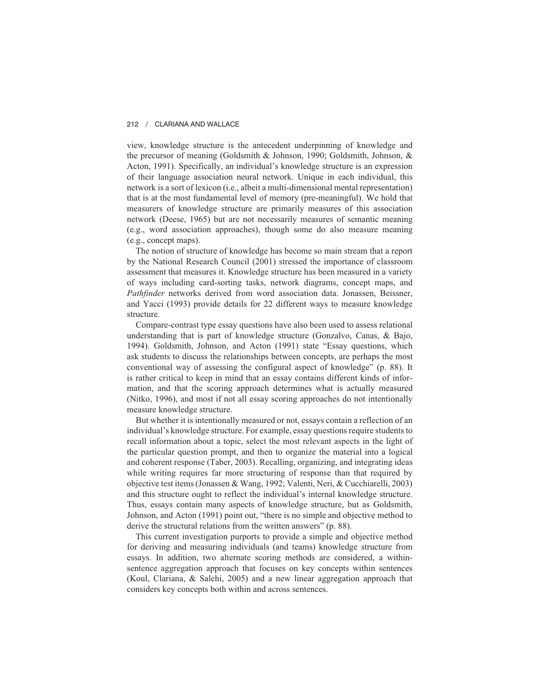view, knowledge structure is the antecedent underpinning of knowledge and the precursor of meaning (Goldsmith & Johnson, 1990; Goldsmith, Johnson, & Acton, 1991). Specifically, an individual's knowledge structure is an expression of their language association neural network. Unique in each individual, this network is a sort of lexicon (i.e., albeit a multi-dimensional mental representation) that is at the most fundamental level of memory (pre-meaningful). We hold that measurers of knowledge structure are primarily measures of this association network (Deese, 1965) but are not necessarily measures of semantic meaning (e.g., word association approaches), though some do also measure meaning (e.g., concept maps).

The notion of structure of knowledge has become so main stream that a report by the National Research Council (2001) stressed the importance of classroom assessment that measures it. Knowledge structure has been measured in a variety of ways including card-sorting tasks, network diagrams, concept maps, and *Pathfinder* networks derived from word association data. Jonassen, Beissner, and Yacci (1993) provide details for 22 different ways to measure knowledge structure.

Compare-contrast type essay questions have also been used to assess relational understanding that is part of knowledge structure (Gonzalvo, Canas, & Bajo, 1994). Goldsmith, Johnson, and Acton (1991) state "Essay questions, which ask students to discuss the relationships between concepts, are perhaps the most conventional way of assessing the configural aspect of knowledge" (p. 88). It is rather critical to keep in mind that an essay contains different kinds of information, and that the scoring approach determines what is actually measured (Nitko, 1996), and most if not all essay scoring approaches do not intentionally measure knowledge structure.

But whether it is intentionally measured or not, essays contain a reflection of an individual's knowledge structure. For example, essay questions require students to recall information about a topic, select the most relevant aspects in the light of the particular question prompt, and then to organize the material into a logical and coherent response (Taber, 2003). Recalling, organizing, and integrating ideas while writing requires far more structuring of response than that required by objective test items (Jonassen & Wang, 1992; Valenti, Neri, & Cucchiarelli, 2003) and this structure ought to reflect the individual's internal knowledge structure. Thus, essays contain many aspects of knowledge structure, but as Goldsmith, Johnson, and Acton (1991) point out, "there is no simple and objective method to derive the structural relations from the written answers" (p. 88).

This current investigation purports to provide a simple and objective method for deriving and measuring individuals (and teams) knowledge structure from essays. In addition, two alternate scoring methods are considered, a withinsentence aggregation approach that focuses on key concepts within sentences (Koul, Clariana, & Salehi, 2005) and a new linear aggregation approach that considers key concepts both within and across sentences.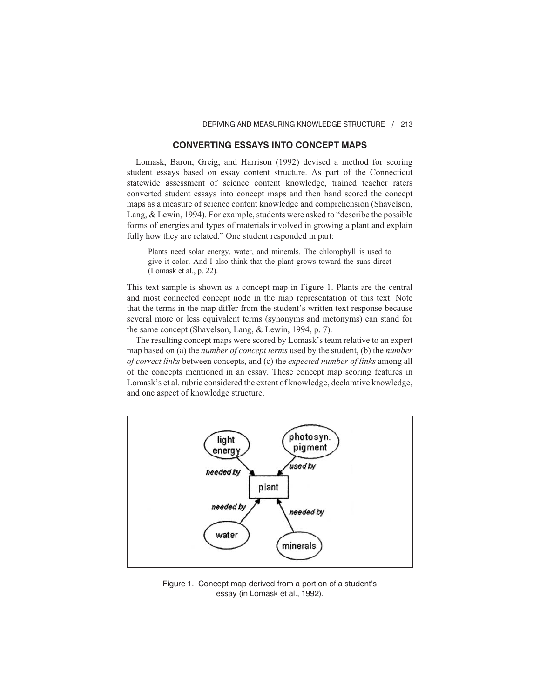## **CONVERTING ESSAYS INTO CONCEPT MAPS**

Lomask, Baron, Greig, and Harrison (1992) devised a method for scoring student essays based on essay content structure. As part of the Connecticut statewide assessment of science content knowledge, trained teacher raters converted student essays into concept maps and then hand scored the concept maps as a measure of science content knowledge and comprehension (Shavelson, Lang, & Lewin, 1994). For example, students were asked to "describe the possible forms of energies and types of materials involved in growing a plant and explain fully how they are related." One student responded in part:

Plants need solar energy, water, and minerals. The chlorophyll is used to give it color. And I also think that the plant grows toward the suns direct (Lomask et al., p. 22).

This text sample is shown as a concept map in Figure 1. Plants are the central and most connected concept node in the map representation of this text. Note that the terms in the map differ from the student's written text response because several more or less equivalent terms (synonyms and metonyms) can stand for the same concept (Shavelson, Lang, & Lewin, 1994, p. 7).

The resulting concept maps were scored by Lomask's team relative to an expert map based on (a) the *number of concept terms* used by the student, (b) the *number of correct links* between concepts, and (c) the *expected number of links* among all of the concepts mentioned in an essay. These concept map scoring features in Lomask's et al. rubric considered the extent of knowledge, declarative knowledge, and one aspect of knowledge structure.



Figure 1. Concept map derived from a portion of a student's essay (in Lomask et al., 1992).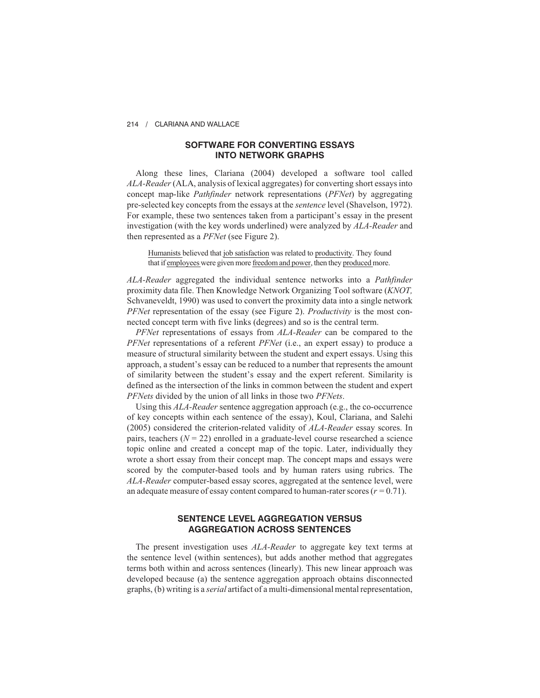# **SOFTWARE FOR CONVERTING ESSAYS INTO NETWORK GRAPHS**

Along these lines, Clariana (2004) developed a software tool called *ALA-Reader*(ALA, analysis of lexical aggregates) for converting short essays into concept map-like *Pathfinder* network representations (*PFNet*) by aggregating pre-selected key concepts from the essays at the *sentence* level (Shavelson, 1972). For example, these two sentences taken from a participant's essay in the present investigation (with the key words underlined) were analyzed by *ALA-Reader* and then represented as a *PFNet* (see Figure 2).

Humanists believed that job satisfaction was related to productivity. They found that if employees were given more freedom and power, then they produced more.

*ALA-Reader* aggregated the individual sentence networks into a *Pathfinder* proximity data file. Then Knowledge Network Organizing Tool software (*KNOT,* Schvaneveldt, 1990) was used to convert the proximity data into a single network *PFNet* representation of the essay (see Figure 2). *Productivity* is the most connected concept term with five links (degrees) and so is the central term.

*PFNet* representations of essays from *ALA-Reader* can be compared to the *PFNet* representations of a referent *PFNet* (i.e., an expert essay) to produce a measure of structural similarity between the student and expert essays. Using this approach, a student's essay can be reduced to a number that represents the amount of similarity between the student's essay and the expert referent. Similarity is defined as the intersection of the links in common between the student and expert *PFNets* divided by the union of all links in those two *PFNets*.

Using this *ALA-Reader* sentence aggregation approach (e.g., the co-occurrence of key concepts within each sentence of the essay), Koul, Clariana, and Salehi (2005) considered the criterion-related validity of *ALA-Reader* essay scores. In pairs, teachers  $(N = 22)$  enrolled in a graduate-level course researched a science topic online and created a concept map of the topic. Later, individually they wrote a short essay from their concept map. The concept maps and essays were scored by the computer-based tools and by human raters using rubrics. The *ALA-Reader* computer-based essay scores, aggregated at the sentence level, were an adequate measure of essay content compared to human-rater scores (*r =* 0.71).

# **SENTENCE LEVEL AGGREGATION VERSUS AGGREGATION ACROSS SENTENCES**

The present investigation uses *ALA-Reader* to aggregate key text terms at the sentence level (within sentences), but adds another method that aggregates terms both within and across sentences (linearly). This new linear approach was developed because (a) the sentence aggregation approach obtains disconnected graphs, (b) writing is a *serial* artifact of a multi-dimensional mental representation,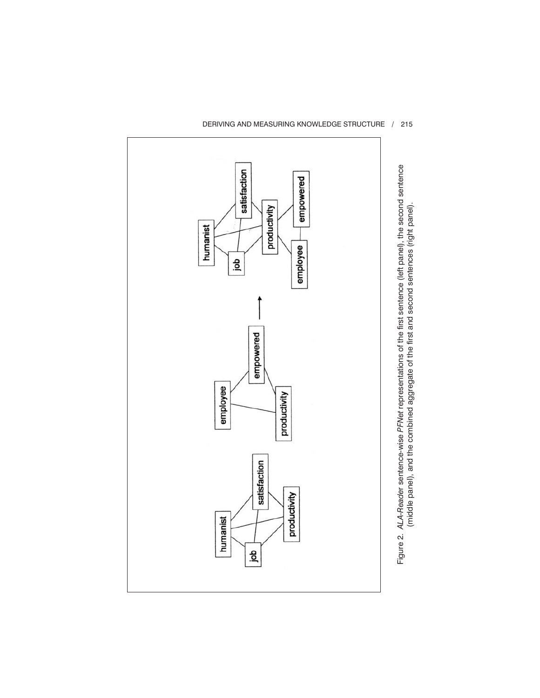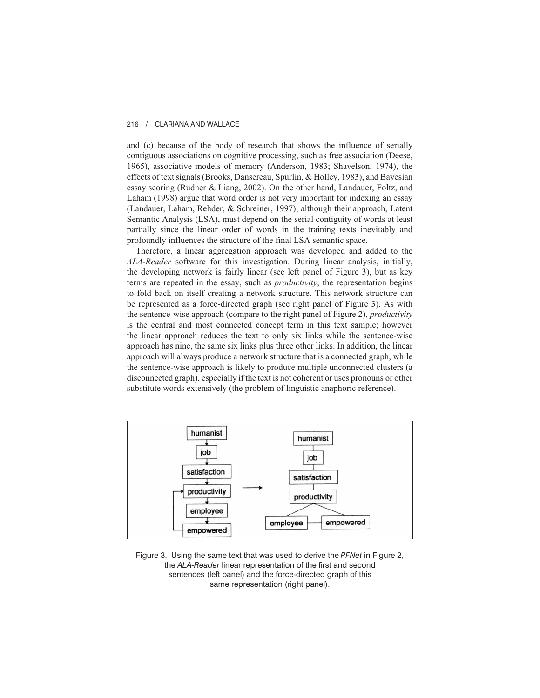and (c) because of the body of research that shows the influence of serially contiguous associations on cognitive processing, such as free association (Deese, 1965), associative models of memory (Anderson, 1983; Shavelson, 1974), the effects of text signals (Brooks, Dansereau, Spurlin, & Holley, 1983), and Bayesian essay scoring (Rudner & Liang, 2002). On the other hand, Landauer, Foltz, and Laham (1998) argue that word order is not very important for indexing an essay (Landauer, Laham, Rehder, & Schreiner, 1997), although their approach, Latent Semantic Analysis (LSA), must depend on the serial contiguity of words at least partially since the linear order of words in the training texts inevitably and profoundly influences the structure of the final LSA semantic space.

Therefore, a linear aggregation approach was developed and added to the *ALA-Reader* software for this investigation. During linear analysis, initially, the developing network is fairly linear (see left panel of Figure 3), but as key terms are repeated in the essay, such as *productivity*, the representation begins to fold back on itself creating a network structure. This network structure can be represented as a force-directed graph (see right panel of Figure 3). As with the sentence-wise approach (compare to the right panel of Figure 2), *productivity* is the central and most connected concept term in this text sample; however the linear approach reduces the text to only six links while the sentence-wise approach has nine, the same six links plus three other links. In addition, the linear approach will always produce a network structure that is a connected graph, while the sentence-wise approach is likely to produce multiple unconnected clusters (a disconnected graph), especially if the text is not coherent or uses pronouns or other substitute words extensively (the problem of linguistic anaphoric reference).



Figure 3. Using the same text that was used to derive the *PFNet* in Figure 2, the *ALA-Reader* linear representation of the first and second sentences (left panel) and the force-directed graph of this same representation (right panel).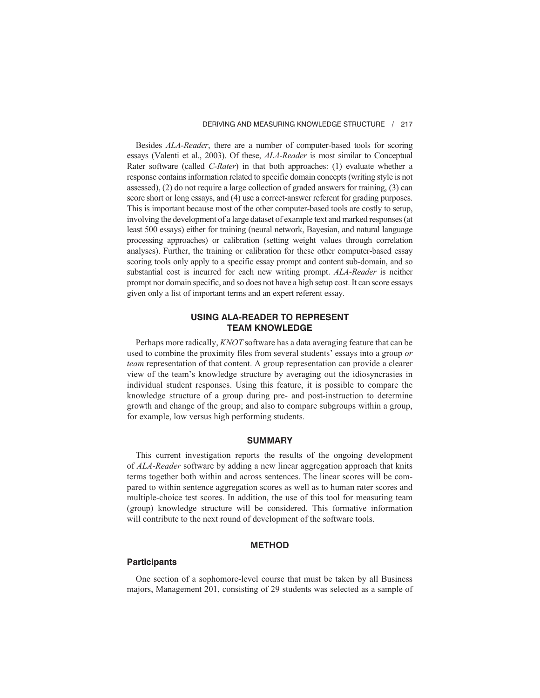Besides *ALA-Reader*, there are a number of computer-based tools for scoring essays (Valenti et al., 2003). Of these, *ALA-Reader* is most similar to Conceptual Rater software (called *C-Rater*) in that both approaches: (1) evaluate whether a response contains information related to specific domain concepts (writing style is not assessed), (2) do not require a large collection of graded answers for training, (3) can score short or long essays, and (4) use a correct-answer referent for grading purposes. This is important because most of the other computer-based tools are costly to setup, involving the development of a large dataset of example text and marked responses (at least 500 essays) either for training (neural network, Bayesian, and natural language processing approaches) or calibration (setting weight values through correlation analyses). Further, the training or calibration for these other computer-based essay scoring tools only apply to a specific essay prompt and content sub-domain, and so substantial cost is incurred for each new writing prompt. *ALA-Reader* is neither prompt nor domain specific, and so does not have a high setup cost. It can score essays given only a list of important terms and an expert referent essay.

## **USING ALA-READER TO REPRESENT TEAM KNOWLEDGE**

Perhaps more radically, *KNOT* software has a data averaging feature that can be used to combine the proximity files from several students' essays into a group *or team* representation of that content. A group representation can provide a clearer view of the team's knowledge structure by averaging out the idiosyncrasies in individual student responses. Using this feature, it is possible to compare the knowledge structure of a group during pre- and post-instruction to determine growth and change of the group; and also to compare subgroups within a group, for example, low versus high performing students.

## **SUMMARY**

This current investigation reports the results of the ongoing development of *ALA-Reader* software by adding a new linear aggregation approach that knits terms together both within and across sentences. The linear scores will be compared to within sentence aggregation scores as well as to human rater scores and multiple-choice test scores. In addition, the use of this tool for measuring team (group) knowledge structure will be considered. This formative information will contribute to the next round of development of the software tools.

## **METHOD**

#### **Participants**

One section of a sophomore-level course that must be taken by all Business majors, Management 201, consisting of 29 students was selected as a sample of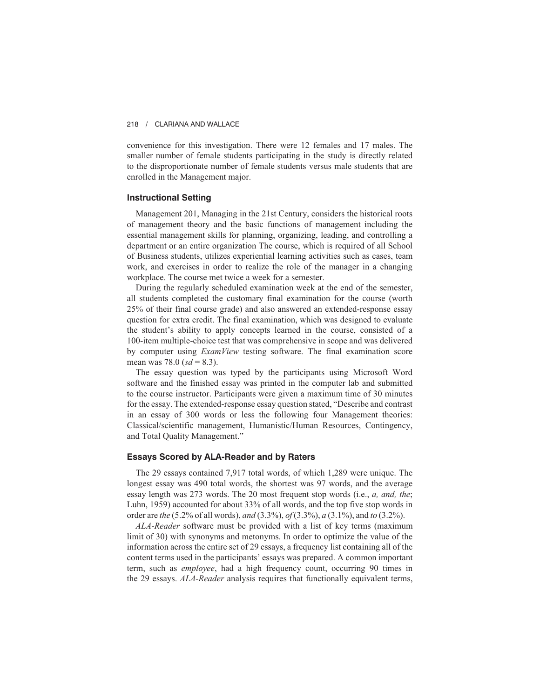convenience for this investigation. There were 12 females and 17 males. The smaller number of female students participating in the study is directly related to the disproportionate number of female students versus male students that are enrolled in the Management major.

### **Instructional Setting**

Management 201, Managing in the 21st Century, considers the historical roots of management theory and the basic functions of management including the essential management skills for planning, organizing, leading, and controlling a department or an entire organization The course, which is required of all School of Business students, utilizes experiential learning activities such as cases, team work, and exercises in order to realize the role of the manager in a changing workplace. The course met twice a week for a semester.

During the regularly scheduled examination week at the end of the semester, all students completed the customary final examination for the course (worth 25% of their final course grade) and also answered an extended-response essay question for extra credit. The final examination, which was designed to evaluate the student's ability to apply concepts learned in the course, consisted of a 100-item multiple-choice test that was comprehensive in scope and was delivered by computer using *ExamView* testing software. The final examination score mean was 78.0 ( $sd = 8.3$ ).

The essay question was typed by the participants using Microsoft Word software and the finished essay was printed in the computer lab and submitted to the course instructor. Participants were given a maximum time of 30 minutes for the essay. The extended-response essay question stated, "Describe and contrast in an essay of 300 words or less the following four Management theories: Classical/scientific management, Humanistic/Human Resources, Contingency, and Total Quality Management."

### **Essays Scored by ALA-Reader and by Raters**

The 29 essays contained 7,917 total words, of which 1,289 were unique. The longest essay was 490 total words, the shortest was 97 words, and the average essay length was 273 words. The 20 most frequent stop words (i.e., *a, and, the*; Luhn, 1959) accounted for about 33% of all words, and the top five stop words in order are *the* (5.2% of all words), *and* (3.3%), *of* (3.3%), *a* (3.1%), and *to* (3.2%).

*ALA-Reader* software must be provided with a list of key terms (maximum limit of 30) with synonyms and metonyms. In order to optimize the value of the information across the entire set of 29 essays, a frequency list containing all of the content terms used in the participants' essays was prepared. A common important term, such as *employee*, had a high frequency count, occurring 90 times in the 29 essays. *ALA-Reader* analysis requires that functionally equivalent terms,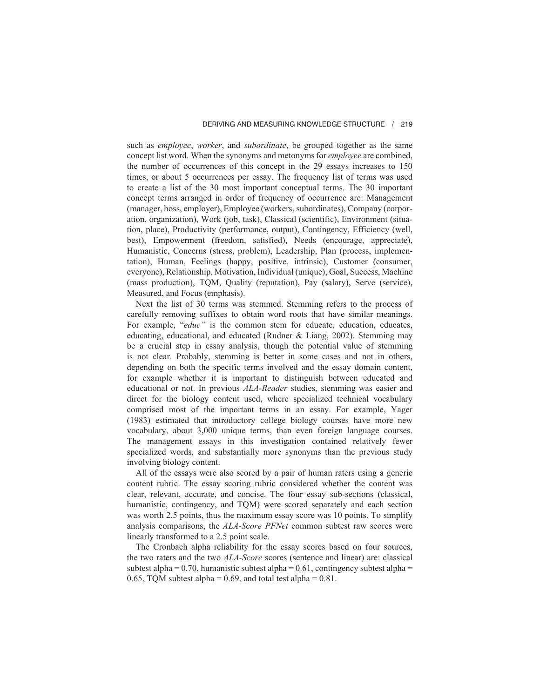such as *employee*, *worker*, and *subordinate*, be grouped together as the same concept list word. When the synonyms and metonyms for *employee* are combined, the number of occurrences of this concept in the 29 essays increases to 150 times, or about 5 occurrences per essay. The frequency list of terms was used to create a list of the 30 most important conceptual terms. The 30 important concept terms arranged in order of frequency of occurrence are: Management (manager, boss, employer), Employee (workers, subordinates), Company (corporation, organization), Work (job, task), Classical (scientific), Environment (situation, place), Productivity (performance, output), Contingency, Efficiency (well, best), Empowerment (freedom, satisfied), Needs (encourage, appreciate), Humanistic, Concerns (stress, problem), Leadership, Plan (process, implementation), Human, Feelings (happy, positive, intrinsic), Customer (consumer, everyone), Relationship, Motivation, Individual (unique), Goal, Success, Machine (mass production), TQM, Quality (reputation), Pay (salary), Serve (service), Measured, and Focus (emphasis).

Next the list of 30 terms was stemmed. Stemming refers to the process of carefully removing suffixes to obtain word roots that have similar meanings. For example, "*educ*" is the common stem for educate, education, educates, educating, educational, and educated (Rudner & Liang, 2002). Stemming may be a crucial step in essay analysis, though the potential value of stemming is not clear. Probably, stemming is better in some cases and not in others, depending on both the specific terms involved and the essay domain content, for example whether it is important to distinguish between educated and educational or not. In previous *ALA-Reader* studies, stemming was easier and direct for the biology content used, where specialized technical vocabulary comprised most of the important terms in an essay. For example, Yager (1983) estimated that introductory college biology courses have more new vocabulary, about 3,000 unique terms, than even foreign language courses. The management essays in this investigation contained relatively fewer specialized words, and substantially more synonyms than the previous study involving biology content.

All of the essays were also scored by a pair of human raters using a generic content rubric. The essay scoring rubric considered whether the content was clear, relevant, accurate, and concise. The four essay sub-sections (classical, humanistic, contingency, and TQM) were scored separately and each section was worth 2.5 points, thus the maximum essay score was 10 points. To simplify analysis comparisons, the *ALA-Score PFNet* common subtest raw scores were linearly transformed to a 2.5 point scale.

The Cronbach alpha reliability for the essay scores based on four sources, the two raters and the two *ALA-Score* scores (sentence and linear) are: classical subtest alpha =  $0.70$ , humanistic subtest alpha =  $0.61$ , contingency subtest alpha = 0.65, TQM subtest alpha = 0.69, and total test alpha =  $0.81$ .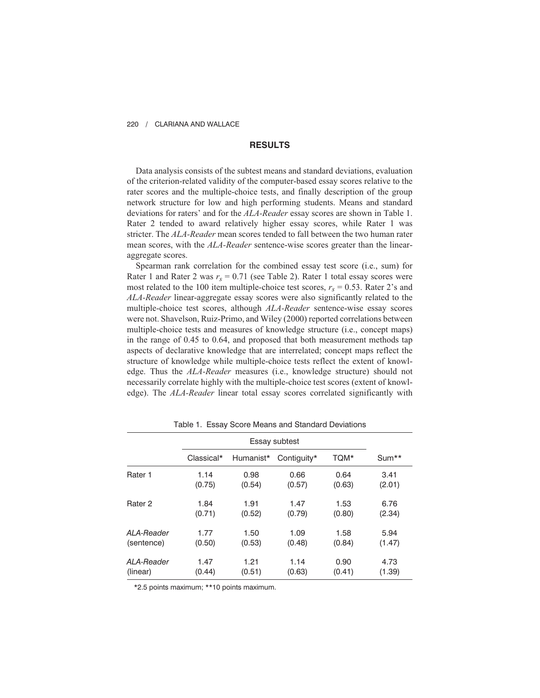## **RESULTS**

Data analysis consists of the subtest means and standard deviations, evaluation of the criterion-related validity of the computer-based essay scores relative to the rater scores and the multiple-choice tests, and finally description of the group network structure for low and high performing students. Means and standard deviations for raters' and for the *ALA-Reader* essay scores are shown in Table 1. Rater 2 tended to award relatively higher essay scores, while Rater 1 was stricter. The *ALA-Reader* mean scores tended to fall between the two human rater mean scores, with the *ALA-Reader* sentence-wise scores greater than the linearaggregate scores.

Spearman rank correlation for the combined essay test score (i.e., sum) for Rater 1 and Rater 2 was  $r_s = 0.71$  (see Table 2). Rater 1 total essay scores were most related to the 100 item multiple-choice test scores,  $r_s = 0.53$ . Rater 2's and *ALA-Reader* linear-aggregate essay scores were also significantly related to the multiple-choice test scores, although *ALA-Reader* sentence-wise essay scores were not. Shavelson, Ruiz-Primo, and Wiley (2000) reported correlations between multiple-choice tests and measures of knowledge structure (i.e., concept maps) in the range of 0.45 to 0.64, and proposed that both measurement methods tap aspects of declarative knowledge that are interrelated; concept maps reflect the structure of knowledge while multiple-choice tests reflect the extent of knowledge. Thus the *ALA-Reader* measures (i.e., knowledge structure) should not necessarily correlate highly with the multiple-choice test scores (extent of knowledge). The *ALA-Reader* linear total essay scores correlated significantly with

|                    | Essay subtest |           |             |        |         |
|--------------------|---------------|-----------|-------------|--------|---------|
|                    | Classical*    | Humanist* | Contiguity* | TQM*   | $Sum**$ |
| Rater 1            | 1.14          | 0.98      | 0.66        | 0.64   | 3.41    |
|                    | (0.75)        | (0.54)    | (0.57)      | (0.63) | (2.01)  |
| Rater <sub>2</sub> | 1.84          | 1.91      | 1.47        | 1.53   | 6.76    |
|                    | (0.71)        | (0.52)    | (0.79)      | (0.80) | (2.34)  |
| ALA-Reader         | 1.77          | 1.50      | 1.09        | 1.58   | 5.94    |
| (sentence)         | (0.50)        | (0.53)    | (0.48)      | (0.84) | (1.47)  |
| ALA-Reader         | 1.47          | 1.21      | 1.14        | 0.90   | 4.73    |
| (linear)           | (0.44)        | (0.51)    | (0.63)      | (0.41) | (1.39)  |

Table 1. Essay Score Means and Standard Deviations

\*2.5 points maximum; \*\*10 points maximum.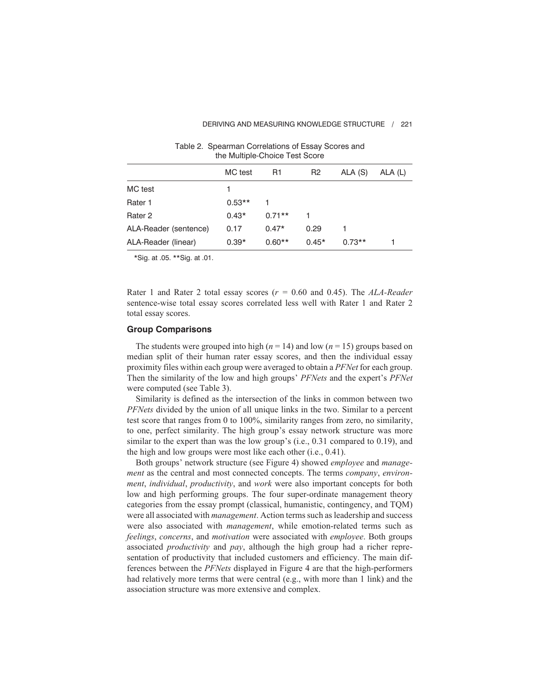|                       | the Multiple-Choice Test Score |          |                |          |         |
|-----------------------|--------------------------------|----------|----------------|----------|---------|
|                       | MC test                        | R1       | R <sub>2</sub> | ALA (S)  | ALA (L) |
| MC test               |                                |          |                |          |         |
| Rater 1               | $0.53**$                       | 1        |                |          |         |
| Rater 2               | $0.43*$                        | $0.71**$ |                |          |         |
| ALA-Reader (sentence) | 0.17                           | $0.47*$  | 0.29           |          |         |
| ALA-Reader (linear)   | $0.39*$                        | $0.60**$ | $0.45*$        | $0.73**$ |         |

Table 2. Spearman Correlations of Essay Scores and the Multiple-Choice Test Score

\*Sig. at .05. \*\*Sig. at .01.

Rater 1 and Rater 2 total essay scores (*r =* 0.60 and 0.45). The *ALA-Reader* sentence-wise total essay scores correlated less well with Rater 1 and Rater 2 total essay scores.

### **Group Comparisons**

The students were grouped into high ( $n = 14$ ) and low ( $n = 15$ ) groups based on median split of their human rater essay scores, and then the individual essay proximity files within each group were averaged to obtain a *PFNet* for each group. Then the similarity of the low and high groups' *PFNets* and the expert's *PFNet* were computed (see Table 3).

Similarity is defined as the intersection of the links in common between two *PFNets* divided by the union of all unique links in the two. Similar to a percent test score that ranges from 0 to 100%, similarity ranges from zero, no similarity, to one, perfect similarity. The high group's essay network structure was more similar to the expert than was the low group's (i.e., 0.31 compared to 0.19), and the high and low groups were most like each other (i.e., 0.41).

Both groups' network structure (see Figure 4) showed *employee* and *management* as the central and most connected concepts. The terms *company*, *environment*, *individual*, *productivity*, and *work* were also important concepts for both low and high performing groups. The four super-ordinate management theory categories from the essay prompt (classical, humanistic, contingency, and TQM) were all associated with *management*. Action terms such as leadership and success were also associated with *management*, while emotion-related terms such as *feelings*, *concerns*, and *motivation* were associated with *employee*. Both groups associated *productivity* and *pay*, although the high group had a richer representation of productivity that included customers and efficiency. The main differences between the *PFNets* displayed in Figure 4 are that the high-performers had relatively more terms that were central (e.g., with more than 1 link) and the association structure was more extensive and complex.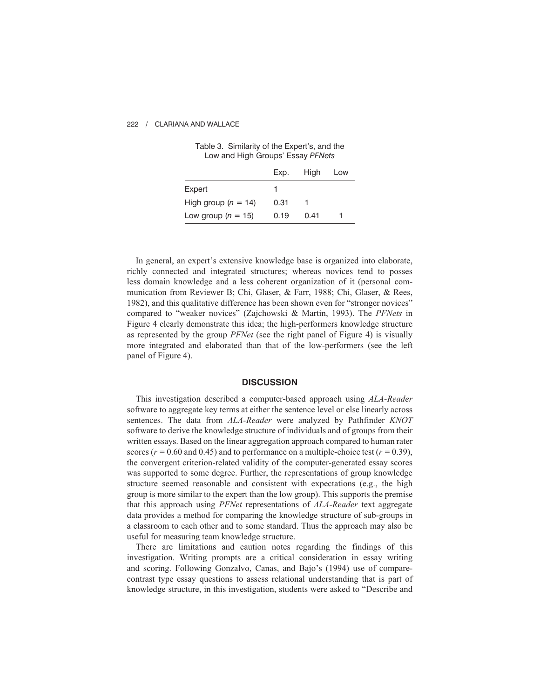| Low and ingh Groups Lssay Frives |      |      |     |
|----------------------------------|------|------|-----|
|                                  | Exp. | High | Low |
| Expert                           |      |      |     |
| High group ( $n = 14$ )          | 0.31 |      |     |
| Low group ( $n = 15$ )           | 0.19 | 0.41 |     |

| Table 3. Similarity of the Expert's, and the |  |  |
|----------------------------------------------|--|--|
| Low and High Groups' Essay PFNets            |  |  |

In general, an expert's extensive knowledge base is organized into elaborate, richly connected and integrated structures; whereas novices tend to posses less domain knowledge and a less coherent organization of it (personal communication from Reviewer B; Chi, Glaser, & Farr, 1988; Chi, Glaser, & Rees, 1982), and this qualitative difference has been shown even for "stronger novices" compared to "weaker novices" (Zajchowski & Martin, 1993). The *PFNets* in Figure 4 clearly demonstrate this idea; the high-performers knowledge structure as represented by the group *PFNet* (see the right panel of Figure 4) is visually more integrated and elaborated than that of the low-performers (see the left panel of Figure 4).

### **DISCUSSION**

This investigation described a computer-based approach using *ALA-Reader* software to aggregate key terms at either the sentence level or else linearly across sentences. The data from *ALA-Reader* were analyzed by Pathfinder *KNOT* software to derive the knowledge structure of individuals and of groups from their written essays. Based on the linear aggregation approach compared to human rater scores ( $r = 0.60$  and 0.45) and to performance on a multiple-choice test ( $r = 0.39$ ), the convergent criterion-related validity of the computer-generated essay scores was supported to some degree. Further, the representations of group knowledge structure seemed reasonable and consistent with expectations (e.g., the high group is more similar to the expert than the low group). This supports the premise that this approach using *PFNet* representations of *ALA-Reader* text aggregate data provides a method for comparing the knowledge structure of sub-groups in a classroom to each other and to some standard. Thus the approach may also be useful for measuring team knowledge structure.

There are limitations and caution notes regarding the findings of this investigation. Writing prompts are a critical consideration in essay writing and scoring. Following Gonzalvo, Canas, and Bajo's (1994) use of comparecontrast type essay questions to assess relational understanding that is part of knowledge structure, in this investigation, students were asked to "Describe and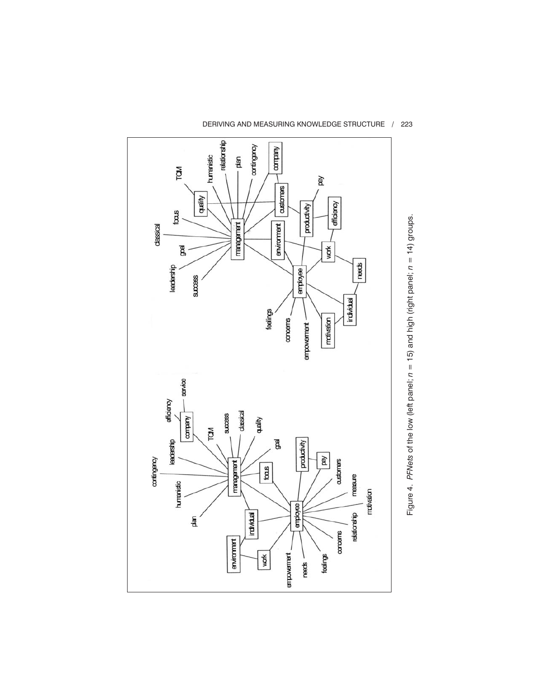

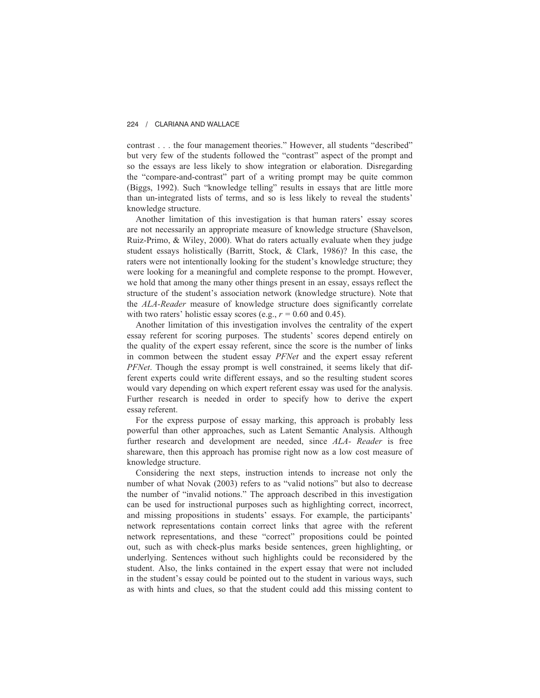contrast . . . the four management theories." However, all students "described" but very few of the students followed the "contrast" aspect of the prompt and so the essays are less likely to show integration or elaboration. Disregarding the "compare-and-contrast" part of a writing prompt may be quite common (Biggs, 1992). Such "knowledge telling" results in essays that are little more than un-integrated lists of terms, and so is less likely to reveal the students' knowledge structure.

Another limitation of this investigation is that human raters' essay scores are not necessarily an appropriate measure of knowledge structure (Shavelson, Ruiz-Primo, & Wiley, 2000). What do raters actually evaluate when they judge student essays holistically (Barritt, Stock, & Clark, 1986)? In this case, the raters were not intentionally looking for the student's knowledge structure; they were looking for a meaningful and complete response to the prompt. However, we hold that among the many other things present in an essay, essays reflect the structure of the student's association network (knowledge structure). Note that the *ALA-Reader* measure of knowledge structure does significantly correlate with two raters' holistic essay scores (e.g.,  $r = 0.60$  and 0.45).

Another limitation of this investigation involves the centrality of the expert essay referent for scoring purposes. The students' scores depend entirely on the quality of the expert essay referent, since the score is the number of links in common between the student essay *PFNet* and the expert essay referent *PFNet*. Though the essay prompt is well constrained, it seems likely that different experts could write different essays, and so the resulting student scores would vary depending on which expert referent essay was used for the analysis. Further research is needed in order to specify how to derive the expert essay referent.

For the express purpose of essay marking, this approach is probably less powerful than other approaches, such as Latent Semantic Analysis. Although further research and development are needed, since *ALA- Reader* is free shareware, then this approach has promise right now as a low cost measure of knowledge structure.

Considering the next steps, instruction intends to increase not only the number of what Novak (2003) refers to as "valid notions" but also to decrease the number of "invalid notions." The approach described in this investigation can be used for instructional purposes such as highlighting correct, incorrect, and missing propositions in students' essays. For example, the participants' network representations contain correct links that agree with the referent network representations, and these "correct" propositions could be pointed out, such as with check-plus marks beside sentences, green highlighting, or underlying. Sentences without such highlights could be reconsidered by the student. Also, the links contained in the expert essay that were not included in the student's essay could be pointed out to the student in various ways, such as with hints and clues, so that the student could add this missing content to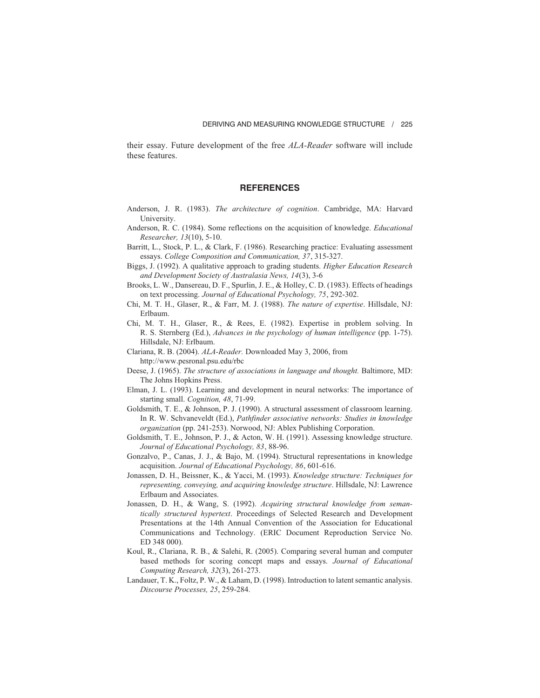their essay. Future development of the free *ALA-Reader* software will include these features.

## **REFERENCES**

- Anderson, J. R. (1983). *The architecture of cognition*. Cambridge, MA: Harvard University.
- Anderson, R. C. (1984). Some reflections on the acquisition of knowledge. *Educational Researcher, 13*(10), 5-10.
- Barritt, L., Stock, P. L., & Clark, F. (1986). Researching practice: Evaluating assessment essays. *College Composition and Communication, 37*, 315-327.
- Biggs, J. (1992). A qualitative approach to grading students. *Higher Education Research and Development Society of Australasia News, 14*(3), 3-6
- Brooks, L. W., Dansereau, D. F., Spurlin, J. E., & Holley, C. D. (1983). Effects of headings on text processing. *Journal of Educational Psychology, 75*, 292-302.
- Chi, M. T. H., Glaser, R., & Farr, M. J. (1988). *The nature of expertise*. Hillsdale, NJ: Erlbaum.
- Chi, M. T. H., Glaser, R., & Rees, E. (1982). Expertise in problem solving. In R. S. Sternberg (Ed.), *Advances in the psychology of human intelligence* (pp. 1-75). Hillsdale, NJ: Erlbaum.
- Clariana, R. B. (2004). *ALA-Reader.* Downloaded May 3, 2006, from http://www.pesronal.psu.edu/rbc
- Deese, J. (1965). *The structure of associations in language and thought.* Baltimore, MD: The Johns Hopkins Press.
- Elman, J. L. (1993). Learning and development in neural networks: The importance of starting small. *Cognition, 48*, 71-99.
- Goldsmith, T. E., & Johnson, P. J. (1990). A structural assessment of classroom learning. In R. W. Schvaneveldt (Ed.), *Pathfinder associative networks: Studies in knowledge organization* (pp. 241-253). Norwood, NJ: Ablex Publishing Corporation.
- Goldsmith, T. E., Johnson, P. J., & Acton, W. H. (1991). Assessing knowledge structure. *Journal of Educational Psychology, 83*, 88-96.
- Gonzalvo, P., Canas, J. J., & Bajo, M. (1994). Structural representations in knowledge acquisition. *Journal of Educational Psychology, 86*, 601-616.
- Jonassen, D. H., Beissner, K., & Yacci, M. (1993). *Knowledge structure: Techniques for representing, conveying, and acquiring knowledge structure*. Hillsdale, NJ: Lawrence Erlbaum and Associates.
- Jonassen, D. H., & Wang, S. (1992). *Acquiring structural knowledge from semantically structured hypertext*. Proceedings of Selected Research and Development Presentations at the 14th Annual Convention of the Association for Educational Communications and Technology. (ERIC Document Reproduction Service No. ED 348 000).
- Koul, R., Clariana, R. B., & Salehi, R. (2005). Comparing several human and computer based methods for scoring concept maps and essays. *Journal of Educational Computing Research, 32*(3), 261-273.
- Landauer, T. K., Foltz, P. W., & Laham, D. (1998). Introduction to latent semantic analysis. *Discourse Processes, 25*, 259-284.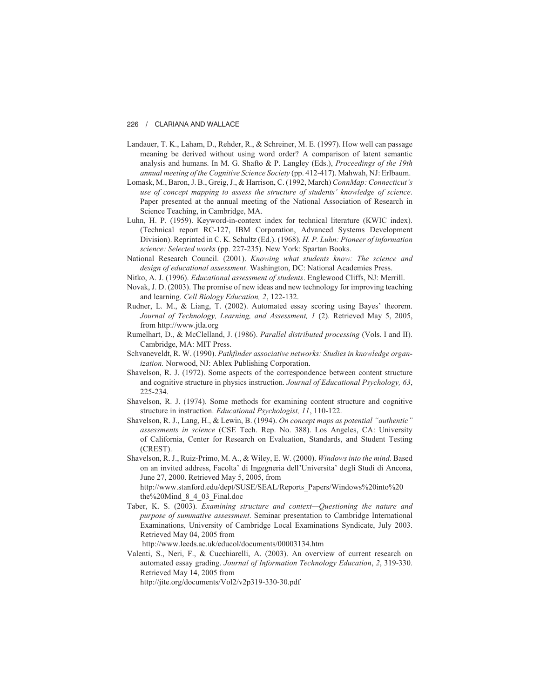- Landauer, T. K., Laham, D., Rehder, R., & Schreiner, M. E. (1997). How well can passage meaning be derived without using word order? A comparison of latent semantic analysis and humans. In M. G. Shafto & P. Langley (Eds.), *Proceedings of the 19th annual meeting of the Cognitive Science Society* (pp. 412-417). Mahwah, NJ: Erlbaum.
- Lomask, M., Baron, J. B., Greig, J., & Harrison, C. (1992, March) *ConnMap: Connecticut's use of concept mapping to assess the structure of students' knowledge of science*. Paper presented at the annual meeting of the National Association of Research in Science Teaching, in Cambridge, MA.
- Luhn, H. P. (1959). Keyword-in-context index for technical literature (KWIC index). (Technical report RC-127, IBM Corporation, Advanced Systems Development Division). Reprinted in C. K. Schultz (Ed.). (1968). *H. P. Luhn: Pioneer of information science: Selected works* (pp. 227-235). New York: Spartan Books.
- National Research Council. (2001). *Knowing what students know: The science and design of educational assessment*. Washington, DC: National Academies Press.
- Nitko, A. J. (1996). *Educational assessment of students*. Englewood Cliffs, NJ: Merrill.
- Novak, J. D. (2003). The promise of new ideas and new technology for improving teaching and learning. *Cell Biology Education, 2*, 122-132.
- Rudner, L. M., & Liang, T. (2002). Automated essay scoring using Bayes' theorem. *Journal of Technology, Learning, and Assessment, 1* (2). Retrieved May 5, 2005, from http://www.jtla.org
- Rumelhart, D., & McClelland, J. (1986). *Parallel distributed processing* (Vols. I and II). Cambridge, MA: MIT Press.
- Schvaneveldt, R. W. (1990). *Pathfinder associative networks: Studies in knowledge organization.* Norwood, NJ: Ablex Publishing Corporation.
- Shavelson, R. J. (1972). Some aspects of the correspondence between content structure and cognitive structure in physics instruction. *Journal of Educational Psychology, 63*, 225-234.
- Shavelson, R. J. (1974). Some methods for examining content structure and cognitive structure in instruction. *Educational Psychologist, 11*, 110-122.
- Shavelson, R. J., Lang, H., & Lewin, B. (1994). *On concept maps as potential "authentic" assessments in science* (CSE Tech. Rep. No. 388). Los Angeles, CA: University of California, Center for Research on Evaluation, Standards, and Student Testing (CREST).
- Shavelson, R. J., Ruiz-Primo, M. A., & Wiley, E. W. (2000). *Windows into the mind*. Based on an invited address, Facolta' di Ingegneria dell'Universita' degli Studi di Ancona, June 27, 2000. Retrieved May 5, 2005, from

http://www.stanford.edu/dept/SUSE/SEAL/Reports\_Papers/Windows%20into%20 the%20Mind\_8\_4\_03\_Final.doc

Taber, K. S. (2003). *Examining structure and context—Questioning the nature and purpose of summative assessment*. Seminar presentation to Cambridge International Examinations, University of Cambridge Local Examinations Syndicate, July 2003. Retrieved May 04, 2005 from

http://www.leeds.ac.uk/educol/documents/00003134.htm

Valenti, S., Neri, F., & Cucchiarelli, A. (2003). An overview of current research on automated essay grading. *Journal of Information Technology Education*, *2*, 319-330. Retrieved May 14, 2005 from

http://jite.org/documents/Vol2/v2p319-330-30.pdf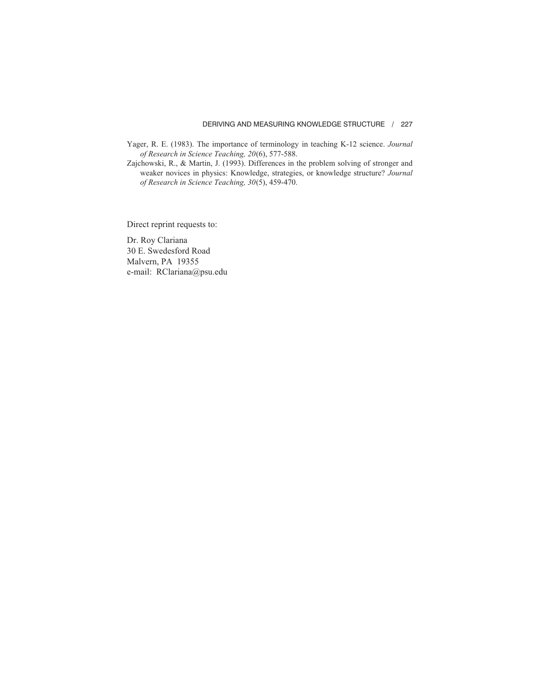- Yager, R. E. (1983). The importance of terminology in teaching K-12 science. *Journal of Research in Science Teaching, 20*(6), 577-588.
- Zajchowski, R., & Martin, J. (1993). Differences in the problem solving of stronger and weaker novices in physics: Knowledge, strategies, or knowledge structure? *Journal of Research in Science Teaching, 30*(5), 459-470.

Direct reprint requests to:

Dr. Roy Clariana 30 E. Swedesford Road Malvern, PA 19355 e-mail: RClariana@psu.edu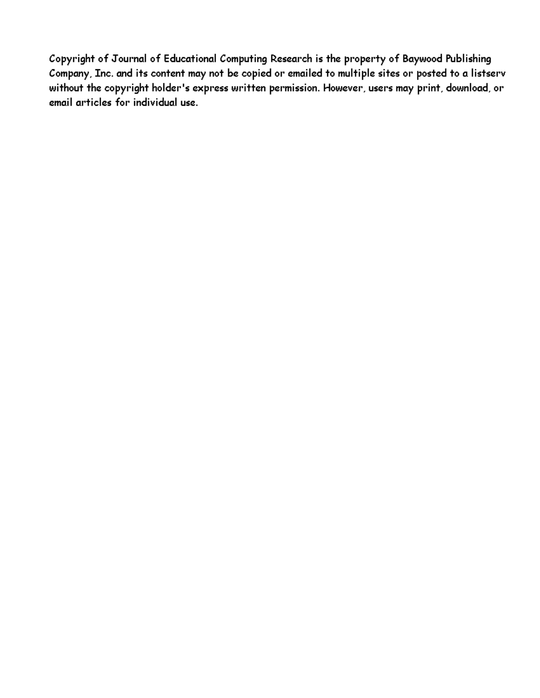Copyright of Journal of Educational Computing Research is the property of Baywood Publishing Company, Inc. and its content may not be copied or emailed to multiple sites or posted to a listserv without the copyright holder's express written permission. However, users may print, download, or email articles for individual use.